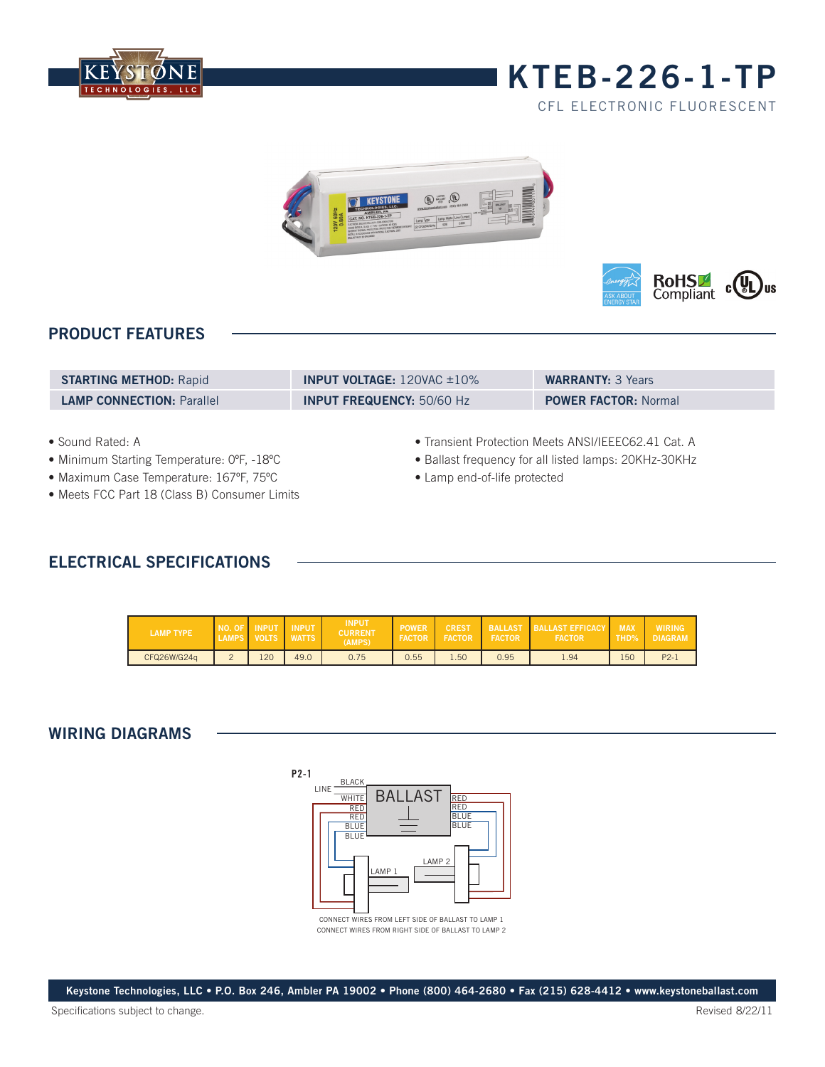

## **kteb-226-1-TP**

CFL electronic fluorescent





### **PRODUCT FEATURES**

| <b>STARTING METHOD: Rapid</b>    | <b>INPUT VOLTAGE:</b> $120\text{VAC} \pm 10\%$ | <b>WARRANTY: 3 Years</b>    |
|----------------------------------|------------------------------------------------|-----------------------------|
| <b>LAMP CONNECTION: Parallel</b> | <b>INPUT FREQUENCY: 50/60 Hz</b>               | <b>POWER FACTOR: Normal</b> |

- Sound Rated: A
- Minimum Starting Temperature: 0ºF, -18ºC
- Maximum Case Temperature: 167ºF, 75ºC
- Meets FCC Part 18 (Class B) Consumer Limits
- Transient Protection Meets ANSI/IEEEC62.41 Cat. A
- Ballast frequency for all listed lamps: 20KHz-30KHz
- Lamp end-of-life protected

### **ELECTRICAL SPECIFICATIONS**

| <b>LAMP TYPE</b> | NO. OF | <b>INPUT</b><br>VOLTS | <b>INPUT</b><br><b>WATTS</b> | <b>INPUT</b><br><b>CURRENT</b><br>(AMPS) | <b>POWER</b><br><b>FACTOR</b> | <b>CREST</b><br><b>FACTOR</b> | <b>FACTOR</b> | <b>BALLAST BALLAST EFFICACY</b><br><b>FACTOR</b> | <b>MAX</b><br><b>THD%</b> | <b>WIRING</b><br><b>DIAGRAM</b> |
|------------------|--------|-----------------------|------------------------------|------------------------------------------|-------------------------------|-------------------------------|---------------|--------------------------------------------------|---------------------------|---------------------------------|
| CFQ26W/G24q      |        | 120                   | 49.0                         | 0.75                                     | 0.55                          | 1.50                          | 0.95          | 1.94                                             | 150                       | $P2 - 1$                        |

#### **WIRING DIAGRAMS**



CONNECT WIRES FROM LEFT SIDE OF BALLAST TO LAMP 1 CONNECT WIRES FROM RIGHT SIDE OF BALLAST TO LAMP 2